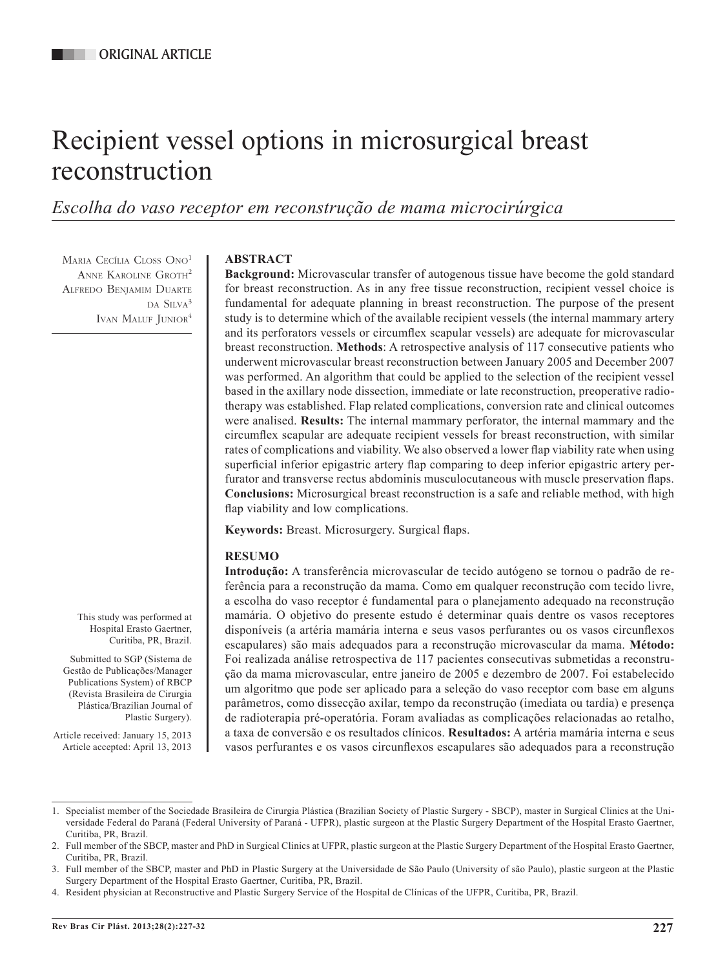# Recipient vessel options in microsurgical breast reconstruction

*Escolha do vaso receptor em reconstrução de mama microcirúrgica*

MARIA CECÍLIA CLOSS ONO<sup>1</sup> ANNE KAROLINE GROTH<sup>2</sup> Alfredo Benjamim Duarte da Silva<sup>3</sup> IVAN MALUF JUNIOR<sup>4</sup>

## **ABSTRACT**

**Background:** Microvascular transfer of autogenous tissue have become the gold standard for breast reconstruction. As in any free tissue reconstruction, recipient vessel choice is fundamental for adequate planning in breast reconstruction. The purpose of the present study is to determine which of the available recipient vessels (the internal mammary artery and its perforators vessels or circumflex scapular vessels) are adequate for microvascular breast reconstruction. **Methods**: A retrospective analysis of 117 consecutive patients who underwent microvascular breast reconstruction between January 2005 and December 2007 was performed. An algorithm that could be applied to the selection of the recipient vessel based in the axillary node dissection, immediate or late reconstruction, preoperative radiotherapy was established. Flap related complications, conversion rate and clinical outcomes were analised. **Results:** The internal mammary perforator, the internal mammary and the circumflex scapular are adequate recipient vessels for breast reconstruction, with similar rates of complications and viability. We also observed a lower flap viability rate when using superficial inferior epigastric artery flap comparing to deep inferior epigastric artery perfurator and transverse rectus abdominis musculocutaneous with muscle preservation flaps. **Conclusions:** Microsurgical breast reconstruction is a safe and reliable method, with high flap viability and low complications.

**Keywords:** Breast. Microsurgery. Surgical flaps.

# **RESUMO**

**Introdução:** A transferência microvascular de tecido autógeno se tornou o padrão de referência para a reconstrução da mama. Como em qualquer reconstrução com tecido livre, a escolha do vaso receptor é fundamental para o planejamento adequado na reconstrução mamária. O objetivo do presente estudo é determinar quais dentre os vasos receptores disponíveis (a artéria mamária interna e seus vasos perfurantes ou os vasos circunflexos escapulares) são mais adequados para a reconstrução microvascular da mama. **Método:**  Foi realizada análise retrospectiva de 117 pacientes consecutivas submetidas a reconstrução da mama microvascular, entre janeiro de 2005 e dezembro de 2007. Foi estabelecido um algoritmo que pode ser aplicado para a seleção do vaso receptor com base em alguns parâmetros, como dissecção axilar, tempo da reconstrução (imediata ou tardia) e presença de radioterapia pré-operatória. Foram avaliadas as complicações relacionadas ao retalho, a taxa de conversão e os resultados clínicos. **Resultados:** A artéria mamária interna e seus vasos perfurantes e os vasos circunflexos escapulares são adequados para a reconstrução

This study was performed at Hospital Erasto Gaertner, Curitiba, PR, Brazil.

Submitted to SGP (Sistema de Gestão de Publicações/Manager Publications System) of RBCP (Revista Brasileira de Cirurgia Plástica/Brazilian Journal of Plastic Surgery).

Article received: January 15, 2013 Article accepted: April 13, 2013

<sup>1.</sup> Specialist member of the Sociedade Brasileira de Cirurgia Plástica (Brazilian Society of Plastic Surgery - SBCP), master in Surgical Clinics at the Universidade Federal do Paraná (Federal University of Paraná - UFPR), plastic surgeon at the Plastic Surgery Department of the Hospital Erasto Gaertner, Curitiba, PR, Brazil.

<sup>2.</sup> Full member of the SBCP, master and PhD in Surgical Clinics at UFPR, plastic surgeon at the Plastic Surgery Department of the Hospital Erasto Gaertner, Curitiba, PR, Brazil.

<sup>3.</sup> Full member of the SBCP, master and PhD in Plastic Surgery at the Universidade de São Paulo (University of são Paulo), plastic surgeon at the Plastic Surgery Department of the Hospital Erasto Gaertner, Curitiba, PR, Brazil.

<sup>4.</sup> Resident physician at Reconstructive and Plastic Surgery Service of the Hospital de Clínicas of the UFPR, Curitiba, PR, Brazil.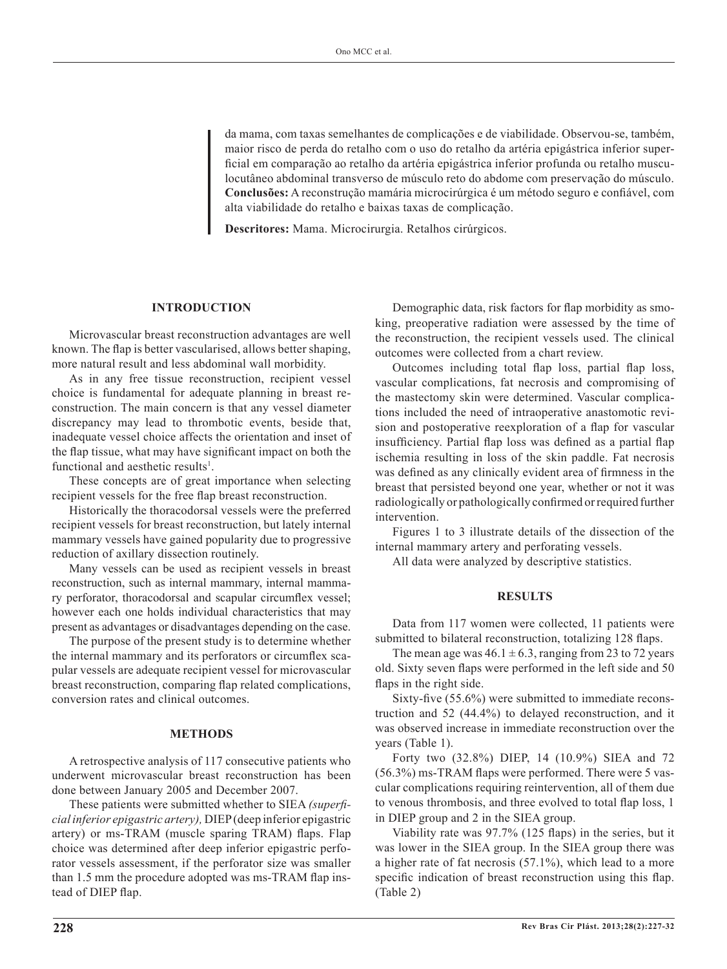da mama, com taxas semelhantes de complicações e de viabilidade. Observou-se, também, maior risco de perda do retalho com o uso do retalho da artéria epigástrica inferior superficial em comparação ao retalho da artéria epigástrica inferior profunda ou retalho musculocutâneo abdominal transverso de músculo reto do abdome com preservação do músculo. **Conclusões:** A reconstrução mamária microcirúrgica é um método seguro e confiável, com alta viabilidade do retalho e baixas taxas de complicação.

**Descritores:** Mama. Microcirurgia. Retalhos cirúrgicos.

### **INTRODUCTION**

Microvascular breast reconstruction advantages are well known. The flap is better vascularised, allows better shaping, more natural result and less abdominal wall morbidity.

As in any free tissue reconstruction, recipient vessel choice is fundamental for adequate planning in breast re construction. The main concern is that any vessel diameter discrepancy may lead to thrombotic events, beside that, inadequate vessel choice affects the orientation and inset of the flap tissue, what may have significant impact on both the functional and aesthetic results<sup>1</sup>.

These concepts are of great importance when selecting recipient vessels for the free flap breast reconstruction.

Historically the thoracodorsal vessels were the preferred recipient vessels for breast reconstruction, but lately internal mammary vessels have gained popularity due to progressive reduction of axillary dissection routinely.

Many vessels can be used as recipient vessels in breast reconstruction, such as internal mammary, internal mammary perforator, thoracodorsal and scapular circumflex vessel; however each one holds individual characteristics that may present as advantages or disadvantages depending on the case.

The purpose of the present study is to determine whether the internal mammary and its perforators or circumflex scapular vessels are adequate recipient vessel for microvascular breast reconstruction, comparing flap related complications, conversion rates and clinical outcomes.

#### **METHODS**

A retrospective analysis of 117 consecutive patients who underwent microvascular breast reconstruction has been done between January 2005 and December 2007.

These patients were submitted whether to SIEA *(superficial inferior epigastric artery),* DIEP (deep inferior epigastric artery) or ms-TRAM (muscle sparing TRAM) flaps. Flap choice was determined after deep inferior epigastric perforator vessels assessment, if the perforator size was smaller than 1.5 mm the procedure adopted was ms-TRAM flap instead of DIEP flap.

Demographic data, risk factors for flap morbidity as smoking, preoperative radiation were assessed by the time of the reconstruction, the recipient vessels used. The clinical outcomes were collected from a chart review.

Outcomes including total flap loss, partial flap loss, vascular complications, fat necrosis and compromising of the mastectomy skin were determined. Vascular complications included the need of intraoperative anastomotic revision and postoperative reexploration of a flap for vascular insufficiency. Partial flap loss was defined as a partial flap ischemia resulting in loss of the skin paddle. Fat necrosis was defined as any clinically evident area of firmness in the breast that persisted beyond one year, whether or not it was radiologically or pathologically confirmed or required further intervention.

Figures 1 to 3 illustrate details of the dissection of the internal mammary artery and perforating vessels.

All data were analyzed by descriptive statistics.

#### **RESULTS**

Data from 117 women were collected, 11 patients were submitted to bilateral reconstruction, totalizing 128 flaps.

The mean age was  $46.1 \pm 6.3$ , ranging from 23 to 72 years old. Sixty seven flaps were performed in the left side and 50 flaps in the right side.

Sixty-five (55.6%) were submitted to immediate reconstruction and 52 (44.4%) to delayed reconstruction, and it was observed increase in immediate reconstruction over the years (Table 1).

Forty two (32.8%) DIEP, 14 (10.9%) SIEA and 72 (56.3%) ms-TRAM flaps were performed. There were 5 vascular complications requiring reintervention, all of them due to venous thrombosis, and three evolved to total flap loss, 1 in DIEP group and 2 in the SIEA group.

Viability rate was 97.7% (125 flaps) in the series, but it was lower in the SIEA group. In the SIEA group there was a higher rate of fat necrosis (57.1%), which lead to a more specific indication of breast reconstruction using this flap. (Table 2)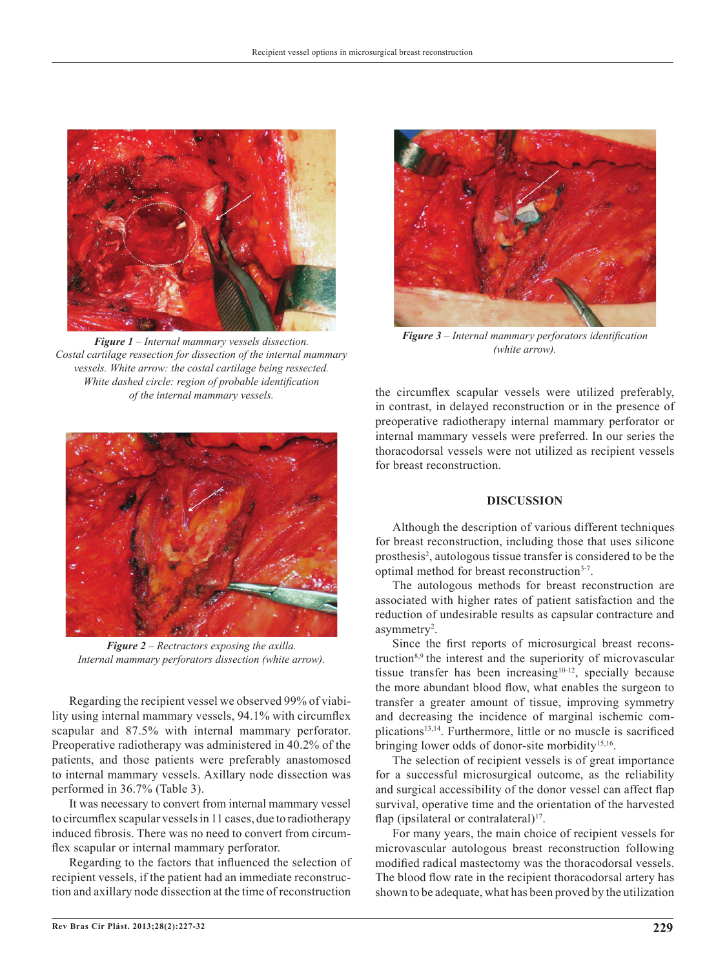

*Figure 1 – Internal mammary vessels dissection. Costal cartilage ressection for dissection of the internal mammary vessels. White arrow: the costal cartilage being ressected. White dashed circle: region of probable identification of the internal mammary vessels.*



*Figure 2 – Rectractors exposing the axilla. Internal mammary perforators dissection (white arrow).*

Regarding the recipient vessel we observed 99% of viability using internal mammary vessels, 94.1% with circumflex scapular and 87.5% with internal mammary perforator. Preoperative radiotherapy was administered in 40.2% of the patients, and those patients were preferably anastomosed to internal mammary vessels. Axillary node dissection was performed in 36.7% (Table 3).

It was necessary to convert from internal mammary vessel to circumflex scapular vessels in 11 cases, due to radiotherapy induced fibrosis. There was no need to convert from circumflex scapular or internal mammary perforator.

Regarding to the factors that influenced the selection of recipient vessels, if the patient had an immediate reconstruction and axillary node dissection at the time of reconstruction



*Figure 3 – Internal mammary perforators identification (white arrow).*

the circumflex scapular vessels were utilized preferably, in contrast, in delayed reconstruction or in the presence of preoperative radiotherapy internal mammary perforator or internal mammary vessels were preferred. In our series the thoracodorsal vessels were not utilized as recipient vessels for breast reconstruction.

#### **DISCUSSION**

Although the description of various different techniques for breast reconstruction, including those that uses silicone prosthesis<sup>2</sup>, autologous tissue transfer is considered to be the optimal method for breast reconstruction<sup>3-7</sup>.

The autologous methods for breast reconstruction are associated with higher rates of patient satisfaction and the reduction of undesirable results as capsular contracture and asymmetry<sup>2</sup>.

Since the first reports of microsurgical breast reconstruction<sup>8,9</sup> the interest and the superiority of microvascular tissue transfer has been increasing<sup>10-12</sup>, specially because the more abundant blood flow, what enables the surgeon to transfer a greater amount of tissue, improving symmetry and decreasing the incidence of marginal ischemic complications<sup>13,14</sup>. Furthermore, little or no muscle is sacrificed bringing lower odds of donor-site morbidity<sup>15,16</sup>.

The selection of recipient vessels is of great importance for a successful microsurgical outcome, as the reliability and surgical accessibility of the donor vessel can affect flap survival, operative time and the orientation of the harvested flap (ipsilateral or contralateral) $17$ .

For many years, the main choice of recipient vessels for microvascular autologous breast reconstruction following modified radical mastectomy was the thoracodorsal vessels. The blood flow rate in the recipient thoracodorsal artery has shown to be adequate, what has been proved by the utilization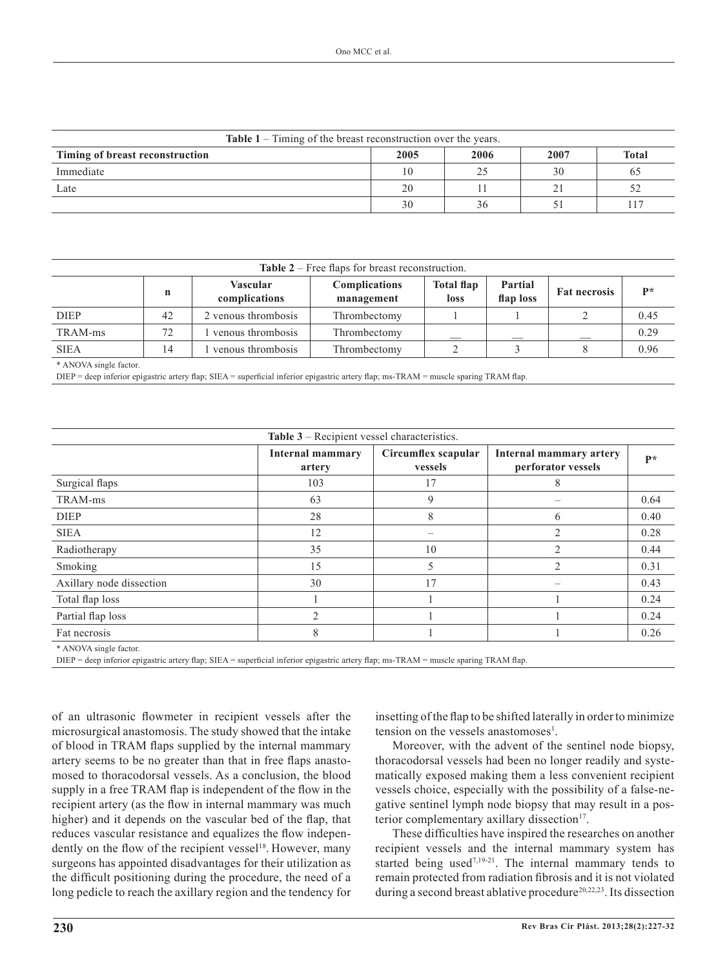| <b>Table 1</b> – Timing of the breast reconstruction over the years. |      |      |      |              |  |  |
|----------------------------------------------------------------------|------|------|------|--------------|--|--|
| Timing of breast reconstruction                                      | 2005 | 2006 | 2007 | <b>Total</b> |  |  |
| Immediate                                                            | 10   |      | 30   | 65           |  |  |
| Late                                                                 | 20   |      |      | 52           |  |  |
|                                                                      | 30   | 36   |      | 117          |  |  |

| Table $2$ – Free flaps for breast reconstruction. |    |                                  |                                    |                           |                      |                     |                |  |
|---------------------------------------------------|----|----------------------------------|------------------------------------|---------------------------|----------------------|---------------------|----------------|--|
|                                                   | n  | <b>Vascular</b><br>complications | <b>Complications</b><br>management | <b>Total flap</b><br>loss | Partial<br>flap loss | <b>Fat necrosis</b> | $\mathbf{p} *$ |  |
| <b>DIEP</b>                                       | 42 | 2 venous thrombosis              | Thrombectomy                       |                           |                      |                     | 0.45           |  |
| TRAM-ms                                           | 72 | venous thrombosis                | Thrombectomy                       |                           |                      |                     | 0.29           |  |
| <b>SIEA</b>                                       | 14 | venous thrombosis                | Thrombectomy                       |                           |                      |                     | 0.96           |  |

\* ANOVA single factor.

DIEP = deep inferior epigastric artery flap; SIEA = superficial inferior epigastric artery flap; ms-TRAM = muscle sparing TRAM flap.

| Table 3 – Recipient vessel characteristics. |                                   |                                |                                               |      |  |  |  |
|---------------------------------------------|-----------------------------------|--------------------------------|-----------------------------------------------|------|--|--|--|
|                                             | <b>Internal mammary</b><br>artery | Circumflex scapular<br>vessels | Internal mammary artery<br>perforator vessels | $P*$ |  |  |  |
| Surgical flaps                              | 103                               | 17                             | 8                                             |      |  |  |  |
| TRAM-ms                                     | 63                                | 9                              |                                               | 0.64 |  |  |  |
| <b>DIEP</b>                                 | 28                                | 8                              | 6                                             | 0.40 |  |  |  |
| <b>SIEA</b>                                 | 12                                |                                | $\overline{2}$                                | 0.28 |  |  |  |
| Radiotherapy                                | 35                                | 10                             | 2                                             | 0.44 |  |  |  |
| Smoking                                     | 15                                | 5                              | $\overline{2}$                                | 0.31 |  |  |  |
| Axillary node dissection                    | 30                                | 17                             |                                               | 0.43 |  |  |  |
| Total flap loss                             |                                   |                                |                                               | 0.24 |  |  |  |
| Partial flap loss                           | $\mathcal{D}_{1}^{(1)}$           |                                |                                               | 0.24 |  |  |  |
| Fat necrosis                                | 8                                 |                                |                                               | 0.26 |  |  |  |
| $*$ ANIOVIA $-1$ , $-1$ , $-1$ , $-1$       |                                   |                                |                                               |      |  |  |  |

ANOVA single factor.

DIEP = deep inferior epigastric artery flap; SIEA = superficial inferior epigastric artery flap; ms-TRAM = muscle sparing TRAM flap.

of an ultrasonic flowmeter in recipient vessels after the microsurgical anastomosis. The study showed that the intake of blood in TRAM flaps supplied by the internal mammary artery seems to be no greater than that in free flaps anastomosed to thoracodorsal vessels. As a conclusion, the blood supply in a free TRAM flap is independent of the flow in the recipient artery (as the flow in internal mammary was much higher) and it depends on the vascular bed of the flap, that reduces vascular resistance and equalizes the flow independently on the flow of the recipient vessel<sup>18</sup>. However, many surgeons has appointed disadvantages for their utilization as the difficult positioning during the procedure, the need of a long pedicle to reach the axillary region and the tendency for

insetting of the flap to be shifted laterally in order to minimize tension on the vessels anastomoses<sup>1</sup>.

Moreover, with the advent of the sentinel node biopsy, thoracodorsal vessels had been no longer readily and systematically exposed making them a less convenient recipient vessels choice, especially with the possibility of a false-ne gative sentinel lymph node biopsy that may result in a posterior complementary axillary dissection<sup>17</sup>.

These difficulties have inspired the researches on another recipient vessels and the internal mammary system has started being used<sup>7,19-21</sup>. The internal mammary tends to remain protected from radiation fibrosis and it is not violated during a second breast ablative procedure<sup>20,22,23</sup>. Its dissection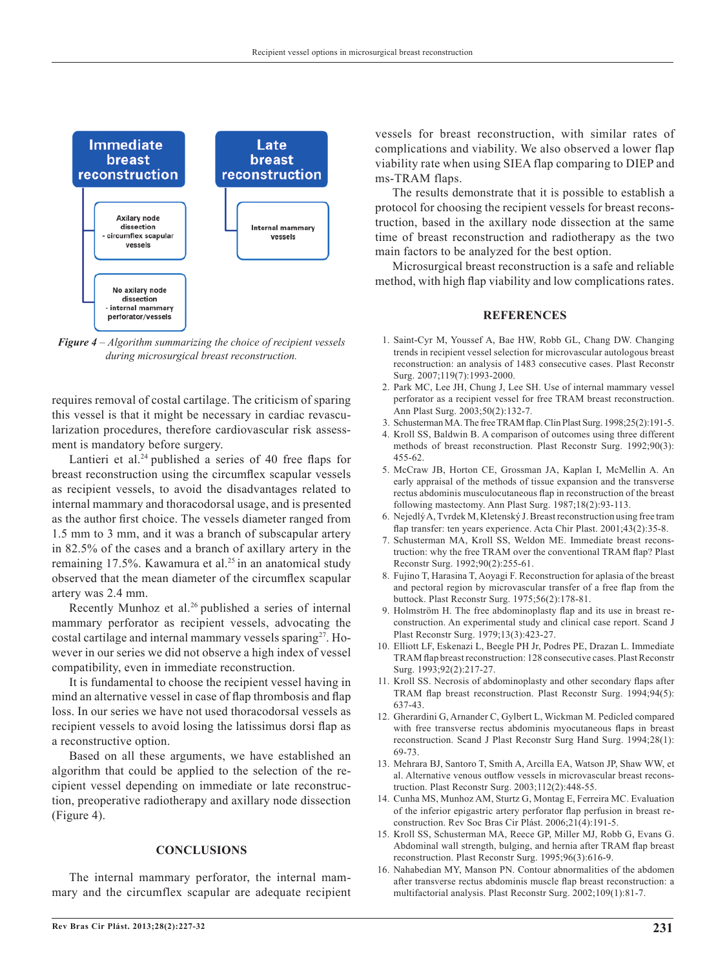

*Figure 4 – Algorithm summarizing the choice of recipient vessels during microsurgical breast reconstruction.*

requires removal of costal cartilage. The criticism of sparing this vessel is that it might be necessary in cardiac revascularization procedures, therefore cardiovascular risk assessment is mandatory before surgery.

Lantieri et al.<sup>24</sup> published a series of 40 free flaps for breast reconstruction using the circumflex scapular vessels as recipient vessels, to avoid the disadvantages related to internal mammary and thoracodorsal usage, and is presented as the author first choice. The vessels diameter ranged from 1.5 mm to 3 mm, and it was a branch of subscapular artery in 82.5% of the cases and a branch of axillary artery in the remaining 17.5%. Kawamura et al.<sup>25</sup> in an anatomical study observed that the mean diameter of the circumflex scapular artery was 2.4 mm.

Recently Munhoz et al.<sup>26</sup> published a series of internal mammary perforator as recipient vessels, advocating the costal cartilage and internal mammary vessels sparing<sup>27</sup>. However in our series we did not observe a high index of vessel compatibility, even in immediate reconstruction.

It is fundamental to choose the recipient vessel having in mind an alternative vessel in case of flap thrombosis and flap loss. In our series we have not used thoracodorsal vessels as recipient vessels to avoid losing the latissimus dorsi flap as a reconstructive option.

Based on all these arguments, we have established an algorithm that could be applied to the selection of the recipient vessel depending on immediate or late reconstruction, preoperative radiotherapy and axillary node dissection (Figure 4).

### **CONCLUSIONS**

The internal mammary perforator, the internal mammary and the circumflex scapular are adequate recipient vessels for breast reconstruction, with similar rates of complications and viability. We also observed a lower flap viability rate when using SIEA flap comparing to DIEP and ms-TRAM flaps.

The results demonstrate that it is possible to establish a protocol for choosing the recipient vessels for breast reconstruction, based in the axillary node dissection at the same time of breast reconstruction and radiotherapy as the two main factors to be analyzed for the best option.

Microsurgical breast reconstruction is a safe and reliable method, with high flap viability and low complications rates.

#### **REFERENCES**

- 1. Saint-Cyr M, Youssef A, Bae HW, Robb GL, Chang DW. Changing trends in recipient vessel selection for microvascular autologous breast reconstruction: an analysis of 1483 consecutive cases. Plast Reconstr Surg. 2007;119(7):1993-2000.
- 2. Park MC, Lee JH, Chung J, Lee SH. Use of internal mammary vessel perforator as a recipient vessel for free TRAM breast reconstruction. Ann Plast Surg. 2003;50(2):132-7.
- 3. Schusterman MA. The free TRAM flap. Clin Plast Surg. 1998;25(2):191-5.
- 4. Kroll SS, Baldwin B. A comparison of outcomes using three different methods of breast reconstruction. Plast Reconstr Surg. 1992;90(3): 455-62.
- 5. McCraw JB, Horton CE, Grossman JA, Kaplan I, McMellin A. An early appraisal of the methods of tissue expansion and the transverse rectus abdominis musculocutaneous flap in reconstruction of the breast following mastectomy. Ann Plast Surg. 1987;18(2):93-113.
- 6. Nejedlý A, Tvrdek M, Kletenský J. Breast reconstruction using free tram flap transfer: ten years experience. Acta Chir Plast. 2001;43(2):35-8.
- 7. Schusterman MA, Kroll SS, Weldon ME. Immediate breast reconstruction: why the free TRAM over the conventional TRAM flap? Plast Reconstr Surg. 1992;90(2):255-61.
- 8. Fujino T, Harasina T, Aoyagi F. Reconstruction for aplasia of the breast and pectoral region by microvascular transfer of a free flap from the buttock. Plast Reconstr Surg. 1975;56(2):178-81.
- 9. Holmström H. The free abdominoplasty flap and its use in breast reconstruction. An experimental study and clinical case report. Scand J Plast Reconstr Surg. 1979;13(3):423-27.
- 10. Elliott LF, Eskenazi L, Beegle PH Jr, Podres PE, Drazan L. Immediate TRAM flap breast reconstruction: 128 consecutive cases. Plast Reconstr Surg. 1993;92(2):217-27.
- 11. Kroll SS. Necrosis of abdominoplasty and other secondary flaps after TRAM flap breast reconstruction. Plast Reconstr Surg. 1994;94(5): 637-43.
- 12. Gherardini G, Arnander C, Gylbert L, Wickman M. Pedicled compared with free transverse rectus abdominis myocutaneous flaps in breast reconstruction. Scand J Plast Reconstr Surg Hand Surg. 1994;28(1): 69-73.
- 13. Mehrara BJ, Santoro T, Smith A, Arcilla EA, Watson JP, Shaw WW, et al. Alternative venous outflow vessels in microvascular breast reconstruction. Plast Reconstr Surg. 2003;112(2):448-55.
- 14. Cunha MS, Munhoz AM, Sturtz G, Montag E, Ferreira MC. Evaluation of the inferior epigastric artery perforator flap perfusion in breast reconstruction. Rev Soc Bras Cir Plást. 2006;21(4):191-5.
- 15. Kroll SS, Schusterman MA, Reece GP, Miller MJ, Robb G, Evans G. Abdominal wall strength, bulging, and hernia after TRAM flap breast reconstruction. Plast Reconstr Surg. 1995;96(3):616-9.
- 16. Nahabedian MY, Manson PN. Contour abnormalities of the abdomen after transverse rectus abdominis muscle flap breast reconstruction: a multifactorial analysis. Plast Reconstr Surg. 2002;109(1):81-7.